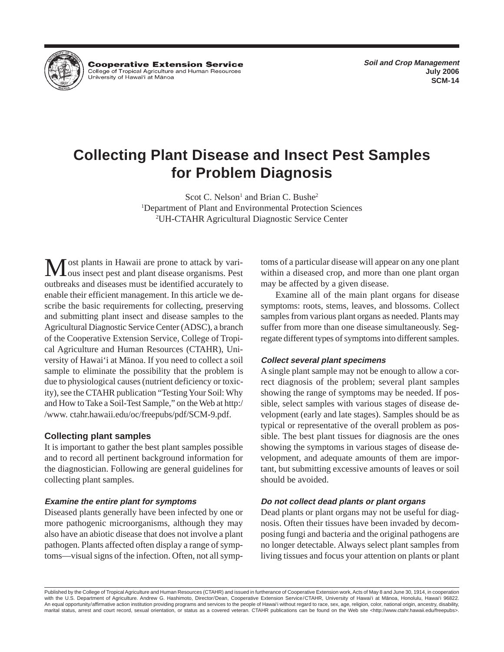

**Cooperative Extension Service** College of Tropical Agriculture and Human Resources University of Hawai'i at Mānoa

# **Collecting Plant Disease and Insect Pest Samples for Problem Diagnosis**

Scot C. Nelson<sup>1</sup> and Brian C. Bushe<sup>2</sup> 1 Department of Plant and Environmental Protection Sciences 2 UH-CTAHR Agricultural Diagnostic Service Center

ost plants in Hawaii are prone to attack by various insect pest and plant disease organisms. Pest outbreaks and diseases must be identified accurately to enable their efficient management. In this article we describe the basic requirements for collecting, preserving and submitting plant insect and disease samples to the Agricultural Diagnostic Service Center (ADSC), a branch of the Cooperative Extension Service, College of Tropical Agriculture and Human Resources (CTAHR), University of Hawai'i at Mänoa. If you need to collect a soil sample to eliminate the possibility that the problem is due to physiological causes (nutrient deficiency or toxicity), see the CTAHR publication "Testing Your Soil: Why and How to Take a Soil-Test Sample," on the Web at http:/ /www. ctahr.hawaii.edu/oc/freepubs/pdf/SCM-9.pdf.

### **Collecting plant samples**

It is important to gather the best plant samples possible and to record all pertinent background information for the diagnostician. Following are general guidelines for collecting plant samples.

# **Examine the entire plant for symptoms**

Diseased plants generally have been infected by one or more pathogenic microorganisms, although they may also have an abiotic disease that does not involve a plant pathogen. Plants affected often display a range of symptoms—visual signs of the infection. Often, not all symptoms of a particular disease will appear on any one plant within a diseased crop, and more than one plant organ may be affected by a given disease.

Examine all of the main plant organs for disease symptoms: roots, stems, leaves, and blossoms. Collect samples from various plant organs as needed. Plants may suffer from more than one disease simultaneously. Segregate different types of symptoms into different samples.

### **Collect several plant specimens**

A single plant sample may not be enough to allow a correct diagnosis of the problem; several plant samples showing the range of symptoms may be needed. If possible, select samples with various stages of disease development (early and late stages). Samples should be as typical or representative of the overall problem as possible. The best plant tissues for diagnosis are the ones showing the symptoms in various stages of disease development, and adequate amounts of them are important, but submitting excessive amounts of leaves or soil should be avoided.

# **Do not collect dead plants or plant organs**

Dead plants or plant organs may not be useful for diagnosis. Often their tissues have been invaded by decomposing fungi and bacteria and the original pathogens are no longer detectable. Always select plant samples from living tissues and focus your attention on plants or plant

Published by the College of Tropical Agriculture and Human Resources (CTAHR) and issued in furtherance of Cooperative Extension work, Acts of May 8 and June 30, 1914, in cooperation with the U.S. Department of Agriculture. Andrew G. Hashimoto, Director/Dean, Cooperative Extension Service/CTAHR, University of Hawai'i at Manoa, Honolulu, Hawai'i 96822. An equal opportunity/affirmative action institution providing programs and services to the people of Hawai'i without regard to race, sex, age, religion, color, national origin, ancestry, disability, marital status, arrest and court record, sexual orientation, or status as a covered veteran. CTAHR publications can be found on the Web site <http://www.ctahr.hawaii.edu/freepubs>.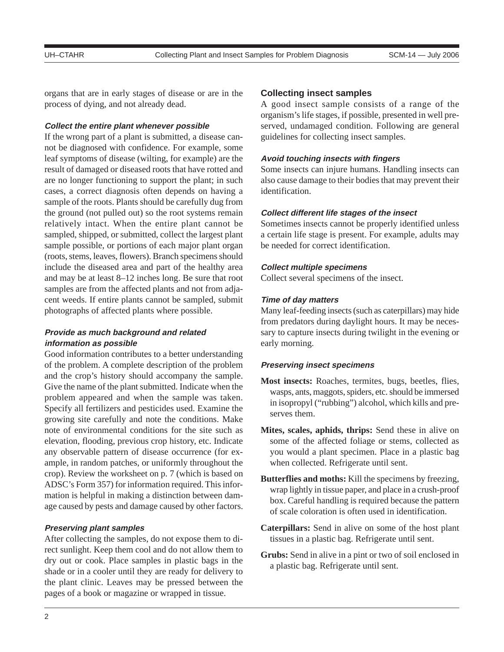organs that are in early stages of disease or are in the process of dying, and not already dead.

#### **Collect the entire plant whenever possible**

If the wrong part of a plant is submitted, a disease cannot be diagnosed with confidence. For example, some leaf symptoms of disease (wilting, for example) are the result of damaged or diseased roots that have rotted and are no longer functioning to support the plant; in such cases, a correct diagnosis often depends on having a sample of the roots. Plants should be carefully dug from the ground (not pulled out) so the root systems remain relatively intact. When the entire plant cannot be sampled, shipped, or submitted, collect the largest plant sample possible, or portions of each major plant organ (roots, stems, leaves, flowers). Branch specimens should include the diseased area and part of the healthy area and may be at least 8–12 inches long. Be sure that root samples are from the affected plants and not from adjacent weeds. If entire plants cannot be sampled, submit photographs of affected plants where possible.

# **Provide as much background and related information as possible**

Good information contributes to a better understanding of the problem. A complete description of the problem and the crop's history should accompany the sample. Give the name of the plant submitted. Indicate when the problem appeared and when the sample was taken. Specify all fertilizers and pesticides used. Examine the growing site carefully and note the conditions. Make note of environmental conditions for the site such as elevation, flooding, previous crop history, etc. Indicate any observable pattern of disease occurrence (for example, in random patches, or uniformly throughout the crop). Review the worksheet on p. 7 (which is based on ADSC's Form 357) for information required. This information is helpful in making a distinction between damage caused by pests and damage caused by other factors.

#### **Preserving plant samples**

After collecting the samples, do not expose them to direct sunlight. Keep them cool and do not allow them to dry out or cook. Place samples in plastic bags in the shade or in a cooler until they are ready for delivery to the plant clinic. Leaves may be pressed between the pages of a book or magazine or wrapped in tissue.

#### **Collecting insect samples**

A good insect sample consists of a range of the organism's life stages, if possible, presented in well preserved, undamaged condition. Following are general guidelines for collecting insect samples.

#### **Avoid touching insects with fingers**

Some insects can injure humans. Handling insects can also cause damage to their bodies that may prevent their identification.

### **Collect different life stages of the insect**

Sometimes insects cannot be properly identified unless a certain life stage is present. For example, adults may be needed for correct identification.

#### **Collect multiple specimens**

Collect several specimens of the insect.

#### **Time of day matters**

Many leaf-feeding insects (such as caterpillars) may hide from predators during daylight hours. It may be necessary to capture insects during twilight in the evening or early morning.

#### **Preserving insect specimens**

- **Most insects:** Roaches, termites, bugs, beetles, flies, wasps, ants, maggots, spiders, etc. should be immersed in isopropyl ("rubbing") alcohol, which kills and preserves them.
- **Mites, scales, aphids, thrips:** Send these in alive on some of the affected foliage or stems, collected as you would a plant specimen. Place in a plastic bag when collected. Refrigerate until sent.
- **Butterflies and moths:** Kill the specimens by freezing, wrap lightly in tissue paper, and place in a crush-proof box. Careful handling is required because the pattern of scale coloration is often used in identification.
- **Caterpillars:** Send in alive on some of the host plant tissues in a plastic bag. Refrigerate until sent.
- **Grubs:** Send in alive in a pint or two of soil enclosed in a plastic bag. Refrigerate until sent.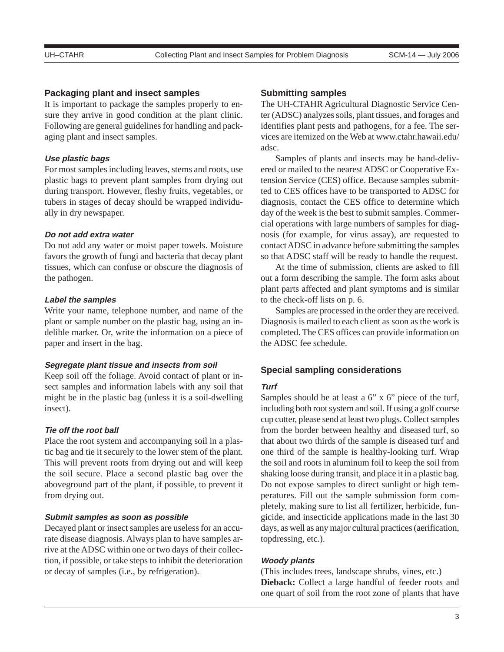#### **Packaging plant and insect samples**

It is important to package the samples properly to ensure they arrive in good condition at the plant clinic. Following are general guidelines for handling and packaging plant and insect samples.

### **Use plastic bags**

For most samples including leaves, stems and roots, use plastic bags to prevent plant samples from drying out during transport. However, fleshy fruits, vegetables, or tubers in stages of decay should be wrapped individually in dry newspaper.

#### **Do not add extra water**

Do not add any water or moist paper towels. Moisture favors the growth of fungi and bacteria that decay plant tissues, which can confuse or obscure the diagnosis of the pathogen.

#### **Label the samples**

Write your name, telephone number, and name of the plant or sample number on the plastic bag, using an indelible marker. Or, write the information on a piece of paper and insert in the bag.

#### **Segregate plant tissue and insects from soil**

Keep soil off the foliage. Avoid contact of plant or insect samples and information labels with any soil that might be in the plastic bag (unless it is a soil-dwelling insect).

#### **Tie off the root ball**

Place the root system and accompanying soil in a plastic bag and tie it securely to the lower stem of the plant. This will prevent roots from drying out and will keep the soil secure. Place a second plastic bag over the aboveground part of the plant, if possible, to prevent it from drying out.

## **Submit samples as soon as possible**

Decayed plant or insect samples are useless for an accurate disease diagnosis. Always plan to have samples arrive at the ADSC within one or two days of their collection, if possible, or take steps to inhibit the deterioration or decay of samples (i.e., by refrigeration).

#### **Submitting samples**

The UH-CTAHR Agricultural Diagnostic Service Center (ADSC) analyzes soils, plant tissues, and forages and identifies plant pests and pathogens, for a fee. The services are itemized on the Web at www.ctahr.hawaii.edu/ adsc.

Samples of plants and insects may be hand-delivered or mailed to the nearest ADSC or Cooperative Extension Service (CES) office. Because samples submitted to CES offices have to be transported to ADSC for diagnosis, contact the CES office to determine which day of the week is the best to submit samples. Commercial operations with large numbers of samples for diagnosis (for example, for virus assay), are requested to contact ADSC in advance before submitting the samples so that ADSC staff will be ready to handle the request.

At the time of submission, clients are asked to fill out a form describing the sample. The form asks about plant parts affected and plant symptoms and is similar to the check-off lists on p. 6.

Samples are processed in the order they are received. Diagnosis is mailed to each client as soon as the work is completed. The CES offices can provide information on the ADSC fee schedule.

#### **Special sampling considerations**

#### **Turf**

Samples should be at least a 6" x 6" piece of the turf, including both root system and soil. If using a golf course cup cutter, please send at least two plugs. Collect samples from the border between healthy and diseased turf, so that about two thirds of the sample is diseased turf and one third of the sample is healthy-looking turf. Wrap the soil and roots in aluminum foil to keep the soil from shaking loose during transit, and place it in a plastic bag. Do not expose samples to direct sunlight or high temperatures. Fill out the sample submission form completely, making sure to list all fertilizer, herbicide, fungicide, and insecticide applications made in the last 30 days, as well as any major cultural practices (aerification, topdressing, etc.).

#### **Woody plants**

(This includes trees, landscape shrubs, vines, etc.) **Dieback:** Collect a large handful of feeder roots and one quart of soil from the root zone of plants that have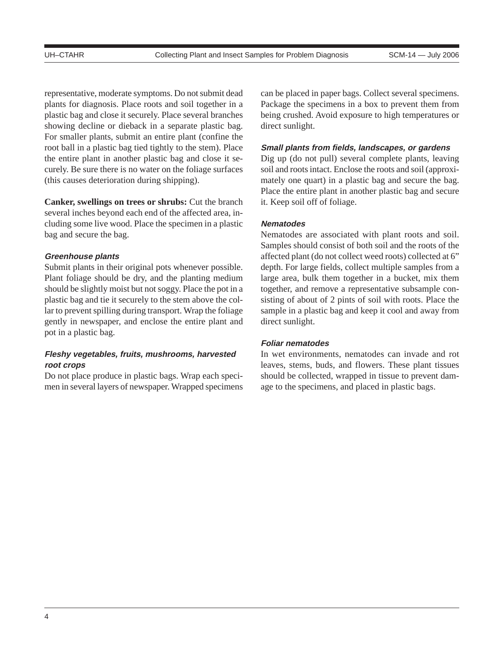representative, moderate symptoms. Do not submit dead plants for diagnosis. Place roots and soil together in a plastic bag and close it securely. Place several branches showing decline or dieback in a separate plastic bag. For smaller plants, submit an entire plant (confine the root ball in a plastic bag tied tightly to the stem). Place the entire plant in another plastic bag and close it securely. Be sure there is no water on the foliage surfaces (this causes deterioration during shipping).

**Canker, swellings on trees or shrubs:** Cut the branch several inches beyond each end of the affected area, including some live wood. Place the specimen in a plastic bag and secure the bag.

#### **Greenhouse plants**

Submit plants in their original pots whenever possible. Plant foliage should be dry, and the planting medium should be slightly moist but not soggy. Place the pot in a plastic bag and tie it securely to the stem above the collar to prevent spilling during transport. Wrap the foliage gently in newspaper, and enclose the entire plant and pot in a plastic bag.

# **Fleshy vegetables, fruits, mushrooms, harvested root crops**

Do not place produce in plastic bags. Wrap each specimen in several layers of newspaper. Wrapped specimens can be placed in paper bags. Collect several specimens. Package the specimens in a box to prevent them from being crushed. Avoid exposure to high temperatures or direct sunlight.

#### **Small plants from fields, landscapes, or gardens**

Dig up (do not pull) several complete plants, leaving soil and roots intact. Enclose the roots and soil (approximately one quart) in a plastic bag and secure the bag. Place the entire plant in another plastic bag and secure it. Keep soil off of foliage.

#### **Nematodes**

Nematodes are associated with plant roots and soil. Samples should consist of both soil and the roots of the affected plant (do not collect weed roots) collected at 6" depth. For large fields, collect multiple samples from a large area, bulk them together in a bucket, mix them together, and remove a representative subsample consisting of about of 2 pints of soil with roots. Place the sample in a plastic bag and keep it cool and away from direct sunlight.

#### **Foliar nematodes**

In wet environments, nematodes can invade and rot leaves, stems, buds, and flowers. These plant tissues should be collected, wrapped in tissue to prevent damage to the specimens, and placed in plastic bags.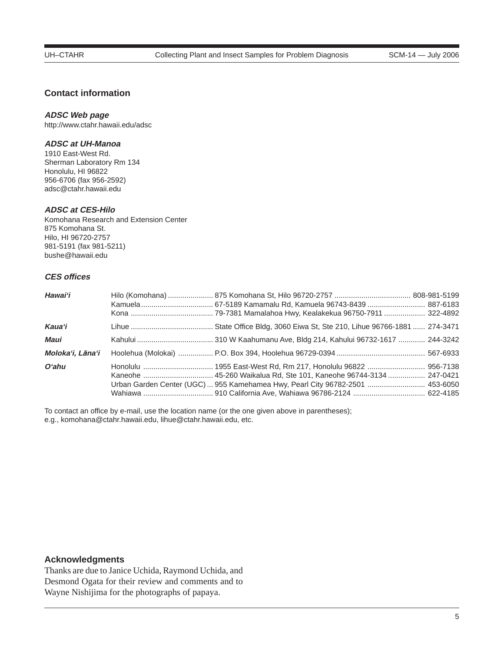# **Contact information**

#### **ADSC Web page**

http://www.ctahr.hawaii.edu/adsc

### **ADSC at UH-Manoa**

1910 East-West Rd. Sherman Laboratory Rm 134 Honolulu, HI 96822 956-6706 (fax 956-2592) adsc@ctahr.hawaii.edu

#### **ADSC at CES-Hilo**

Komohana Research and Extension Center 875 Komohana St. Hilo, HI 96720-2757 981-5191 (fax 981-5211) bushe@hawaii.edu

# **CES offices**

| Hawai'i          | Kamuela  67-5189 Kamamalu Rd, Kamuela 96743-8439  887-6183                    |  |
|------------------|-------------------------------------------------------------------------------|--|
| <b>Kaua</b> 'i   |                                                                               |  |
| Maui             |                                                                               |  |
| Molokaʻi, Lānaʻi |                                                                               |  |
| Oʻahu            | Urban Garden Center (UGC)  955 Kamehamea Hwy, Pearl City 96782-2501  453-6050 |  |

To contact an office by e-mail, use the location name (or the one given above in parentheses); e.g., komohana@ctahr.hawaii.edu, lihue@ctahr.hawaii.edu, etc.

# **Acknowledgments**

Thanks are due to Janice Uchida, Raymond Uchida, and Desmond Ogata for their review and comments and to Wayne Nishijima for the photographs of papaya.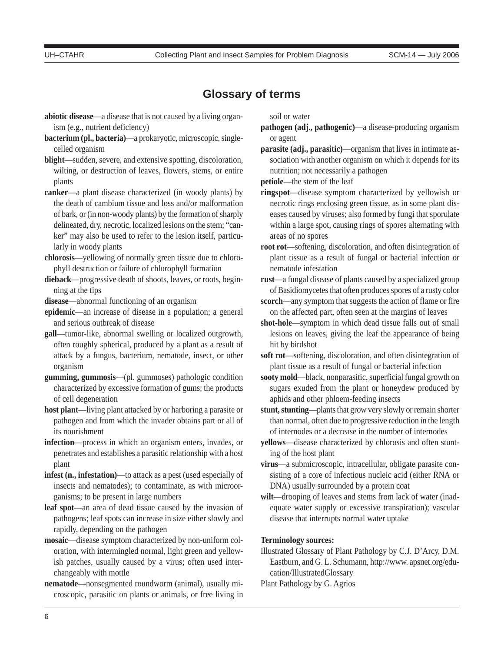# **Glossary of terms**

- **abiotic disease**—a disease that is not caused by a living organism (e.g., nutrient deficiency)
- **bacterium (pl., bacteria)**—a prokaryotic, microscopic, singlecelled organism
- **blight**—sudden, severe, and extensive spotting, discoloration, wilting, or destruction of leaves, flowers, stems, or entire plants
- **canker**—a plant disease characterized (in woody plants) by the death of cambium tissue and loss and/or malformation of bark, or (in non-woody plants) by the formation of sharply delineated, dry, necrotic, localized lesions on the stem; "canker" may also be used to refer to the lesion itself, particularly in woody plants
- **chlorosis**—yellowing of normally green tissue due to chlorophyll destruction or failure of chlorophyll formation
- **dieback**—progressive death of shoots, leaves, or roots, beginning at the tips
- **disease**—abnormal functioning of an organism
- **epidemic**—an increase of disease in a population; a general and serious outbreak of disease
- **gall**—tumor-like, abnormal swelling or localized outgrowth, often roughly spherical, produced by a plant as a result of attack by a fungus, bacterium, nematode, insect, or other organism
- **gumming, gummosis**—(pl. gummoses) pathologic condition characterized by excessive formation of gums; the products of cell degeneration
- **host plant**—living plant attacked by or harboring a parasite or pathogen and from which the invader obtains part or all of its nourishment
- **infection**—process in which an organism enters, invades, or penetrates and establishes a parasitic relationship with a host plant
- **infest (n., infestation)**—to attack as a pest (used especially of insects and nematodes); to contaminate, as with microorganisms; to be present in large numbers
- **leaf spot**—an area of dead tissue caused by the invasion of pathogens; leaf spots can increase in size either slowly and rapidly, depending on the pathogen
- **mosaic**—disease symptom characterized by non-uniform coloration, with intermingled normal, light green and yellowish patches, usually caused by a virus; often used interchangeably with mottle
- **nematode**—nonsegmented roundworm (animal), usually microscopic, parasitic on plants or animals, or free living in

soil or water

- **pathogen (adj., pathogenic)**—a disease-producing organism or agent
- **parasite (adj., parasitic)**—organism that lives in intimate association with another organism on which it depends for its nutrition; not necessarily a pathogen

**petiole**—the stem of the leaf

- **ringspot**—disease symptom characterized by yellowish or necrotic rings enclosing green tissue, as in some plant diseases caused by viruses; also formed by fungi that sporulate within a large spot, causing rings of spores alternating with areas of no spores
- **root rot**—softening, discoloration, and often disintegration of plant tissue as a result of fungal or bacterial infection or nematode infestation
- **rust**—a fungal disease of plants caused by a specialized group of Basidiomycetes that often produces spores of a rusty color
- **scorch**—any symptom that suggests the action of flame or fire on the affected part, often seen at the margins of leaves
- **shot-hole**—symptom in which dead tissue falls out of small lesions on leaves, giving the leaf the appearance of being hit by birdshot
- **soft rot**—softening, discoloration, and often disintegration of plant tissue as a result of fungal or bacterial infection
- **sooty mold**—black, nonparasitic, superficial fungal growth on sugars exuded from the plant or honeydew produced by aphids and other phloem-feeding insects
- **stunt, stunting**—plants that grow very slowly or remain shorter than normal, often due to progressive reduction in the length of internodes or a decrease in the number of internodes
- **yellows**—disease characterized by chlorosis and often stunting of the host plant
- **virus**—a submicroscopic, intracellular, obligate parasite consisting of a core of infectious nucleic acid (either RNA or DNA) usually surrounded by a protein coat
- **wilt**—drooping of leaves and stems from lack of water (inadequate water supply or excessive transpiration); vascular disease that interrupts normal water uptake

#### **Terminology sources:**

- Illustrated Glossary of Plant Pathology by C.J. D'Arcy, D.M. Eastburn, and G. L. Schumann, http://www. apsnet.org/education/IllustratedGlossary
- Plant Pathology by G. Agrios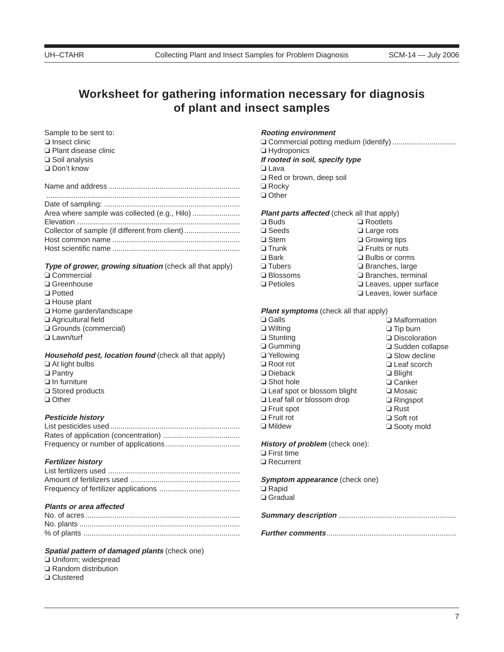# **Worksheet for gathering information necessary for diagnosis of plant and insect samples**

Sample to be sent to: ❏ Insect clinic ❏ Plant disease clinic ❏ Soil analysis ❏ Don't know

| Collector of sample (if different from client) |
|------------------------------------------------|
|                                                |
|                                                |

#### **Type of grower, growing situation** (check all that apply)

- ❏ Commercial
- ❏ Greenhouse
- ❏ Potted
- ❏ House plant
- ❏ Home garden/landscape
- ❏ Agricultural field
- ❏ Grounds (commercial)
- ❏ Lawn/turf

#### **Household pest, location found** (check all that apply) ❏ At light bulbs

- ❏ Pantry
- ❏ In furniture
- ❏ Stored products
- ❏ Other

#### **Pesticide history**

#### **Fertilizer history**

#### **Plants or area affected**

#### **Spatial pattern of damaged plants** (check one)

- ❏ Uniform; widespread
- ❏ Random distribution
- ❏ Clustered

#### **Rooting environment**

❏ Commercial potting medium (identify) ............................... ❏ Hydroponics **If rooted in soil, specify type** ❏ Lava

- ❏ Red or brown, deep soil ❏ Rocky
- ❏ Other

#### **Plant parts affected** (check all that apply)

❏ Buds ❏ Seeds ❏ Stem ❏ Trunk ❏ Bark ❏ Tubers ❏ Blossoms ❏ Petioles

❏ Rootlets ❏ Large rots ❏ Growing tips ❏ Fruits or nuts ❏ Bulbs or corms ❏ Branches, large ❏ Branches, terminal ❏ Leaves, upper surface ❏ Leaves, lower surface

#### **Plant symptoms** (check all that apply)

❏ Galls ❏ Wilting ❏ Stunting ❏ Gumming ❏ Yellowing ❏ Root rot ❏ Dieback ❏ Shot hole ❏ Leaf spot or blossom blight ❏ Leaf fall or blossom drop ❏ Fruit spot ❏ Fruit rot ❏ Mildew ❏ Malformation ❏ Tip burn ❏ Discoloration ❏ Sudden collapse ❏ Slow decline ❏ Leaf scorch ❏ Blight ❏ Canker ❏ Mosaic ❏ Ringspot ❏ Rust ❏ Soft rot ❏ Sooty mold

#### **History of problem** (check one):

❏ First time

❏ Recurrent

**Symptom appearance** (check one) ❏ Rapid ❏ Gradual

**Summary description** .........................................................

**Further comments**...............................................................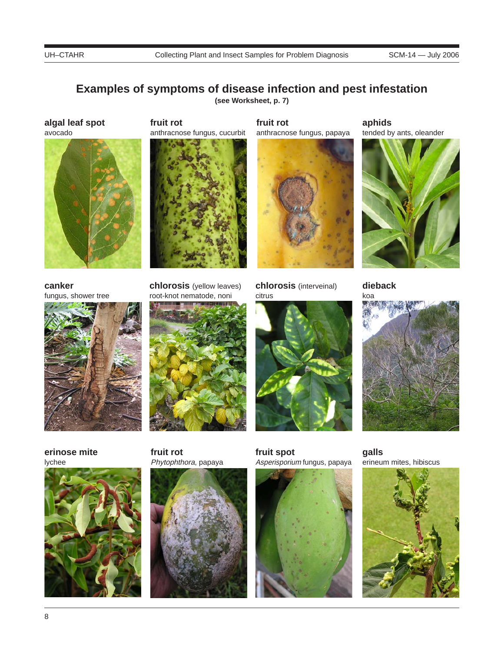# **Examples of symptoms of disease infection and pest infestation**

**(see Worksheet, p. 7)**

**algal leaf spot** avocado



**fruit rot** anthracnose fungus, cucurbit



**fruit rot** anthracnose fungus, papaya



**chlorosis** (interveinal)

citrus

**aphids** tended by ants, oleander



**canker** fungus, shower tree



**chlorosis** (yellow leaves) root-knot nematode, noni



**erinose mite** lychee



**fruit rot** Phytophthora, papaya



**fruit spot** Asperisporium fungus, papaya



**dieback**



**galls** erineum mites, hibiscus

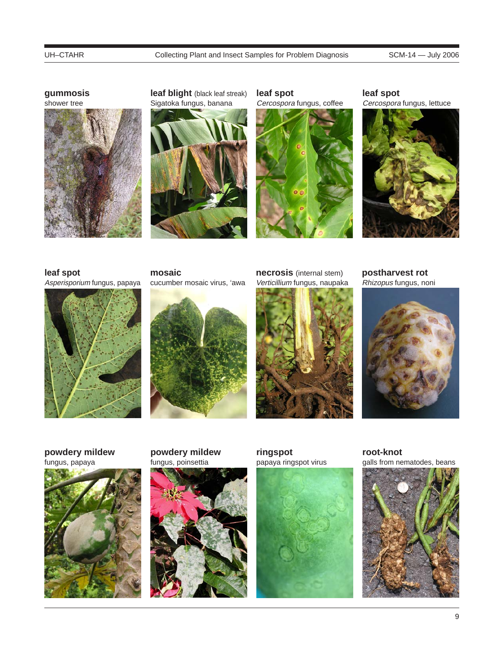**gummosis**



**leaf blight** (black leaf streak) Sigatoka fungus, banana



**leaf spot** Cercospora fungus, coffee



**leaf spot** Cercospora fungus, lettuce



## **leaf spot**

Asperisporium fungus, papaya



**mosaic** cucumber mosaic virus, 'awa



**necrosis** (internal stem) Verticillium fungus, naupaka



**postharvest rot** Rhizopus fungus, noni



**powdery mildew** fungus, papaya



**powdery mildew** fungus, poinsettia



**ringspot** papaya ringspot virus



**root-knot** galls from nematodes, beans